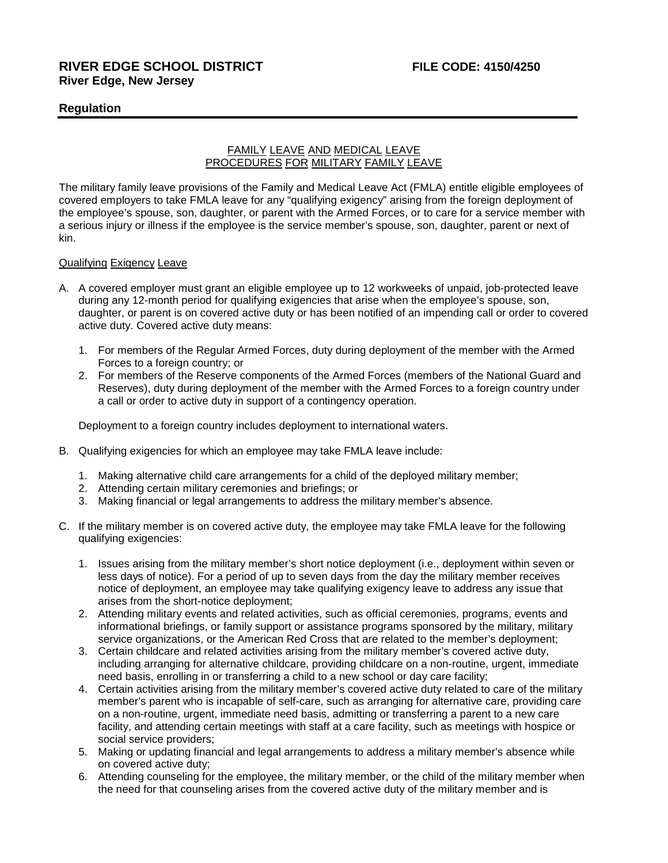# **Regulation**

# FAMILY LEAVE AND MEDICAL LEAVE PROCEDURES FOR MILITARY FAMILY LEAVE

The military family leave provisions of the Family and Medical Leave Act (FMLA) entitle eligible employees of covered employers to take FMLA leave for any "qualifying exigency" arising from the foreign deployment of the employee's spouse, son, daughter, or parent with the Armed Forces, or to care for a service member with a serious injury or illness if the employee is the service member's spouse, son, daughter, parent or next of kin.

### Qualifying Exigency Leave

- A. A covered employer must grant an eligible employee up to 12 workweeks of unpaid, job-protected leave during any 12-month period for qualifying exigencies that arise when the employee's spouse, son, daughter, or parent is on covered active duty or has been notified of an impending call or order to covered active duty. Covered active duty means:
	- 1. For members of the Regular Armed Forces, duty during deployment of the member with the Armed Forces to a foreign country; or
	- 2. For members of the Reserve components of the Armed Forces (members of the National Guard and Reserves), duty during deployment of the member with the Armed Forces to a foreign country under a call or order to active duty in support of a contingency operation.

Deployment to a foreign country includes deployment to international waters.

- B. Qualifying exigencies for which an employee may take FMLA leave include:
	- 1. Making alternative child care arrangements for a child of the deployed military member;
	- 2. Attending certain military ceremonies and briefings; or
	- 3. Making financial or legal arrangements to address the military member's absence.
- C. If the military member is on covered active duty, the employee may take FMLA leave for the following qualifying exigencies:
	- 1. Issues arising from the military member's short notice deployment (i.e., deployment within seven or less days of notice). For a period of up to seven days from the day the military member receives notice of deployment, an employee may take qualifying exigency leave to address any issue that arises from the short-notice deployment;
	- 2. Attending military events and related activities, such as official ceremonies, programs, events and informational briefings, or family support or assistance programs sponsored by the military, military service organizations, or the American Red Cross that are related to the member's deployment;
	- 3. Certain childcare and related activities arising from the military member's covered active duty, including arranging for alternative childcare, providing childcare on a non-routine, urgent, immediate need basis, enrolling in or transferring a child to a new school or day care facility;
	- 4. Certain activities arising from the military member's covered active duty related to care of the military member's parent who is incapable of self-care, such as arranging for alternative care, providing care on a non-routine, urgent, immediate need basis, admitting or transferring a parent to a new care facility, and attending certain meetings with staff at a care facility, such as meetings with hospice or social service providers;
	- 5. Making or updating financial and legal arrangements to address a military member's absence while on covered active duty;
	- 6. Attending counseling for the employee, the military member, or the child of the military member when the need for that counseling arises from the covered active duty of the military member and is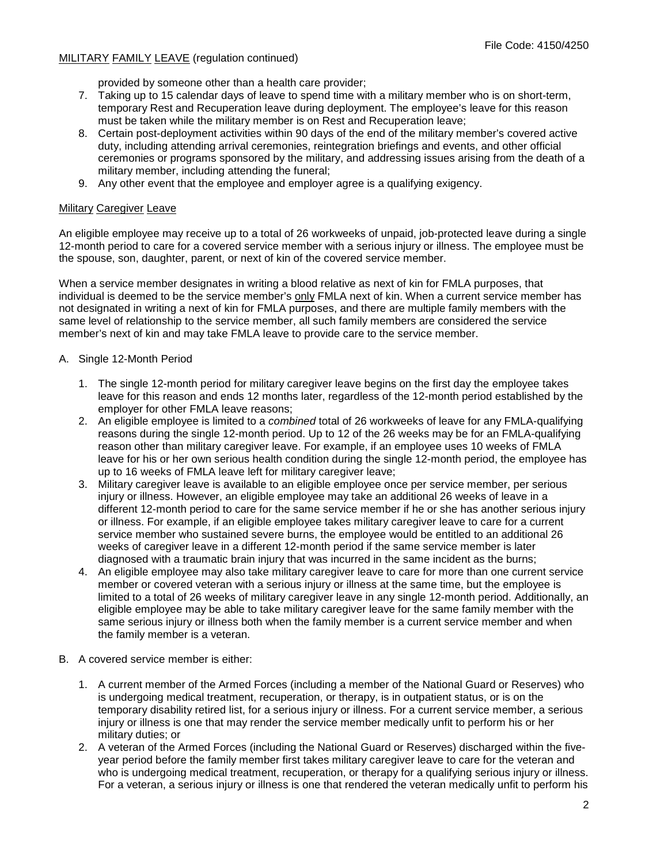## MILITARY FAMILY LEAVE (regulation continued)

provided by someone other than a health care provider;

- 7. Taking up to 15 calendar days of leave to spend time with a military member who is on short-term, temporary Rest and Recuperation leave during deployment. The employee's leave for this reason must be taken while the military member is on Rest and Recuperation leave;
- 8. Certain post-deployment activities within 90 days of the end of the military member's covered active duty, including attending arrival ceremonies, reintegration briefings and events, and other official ceremonies or programs sponsored by the military, and addressing issues arising from the death of a military member, including attending the funeral;
- 9. Any other event that the employee and employer agree is a qualifying exigency.

### Military Caregiver Leave

An eligible employee may receive up to a total of 26 workweeks of unpaid, job-protected leave during a single 12-month period to care for a covered service member with a serious injury or illness. The employee must be the spouse, son, daughter, parent, or next of kin of the covered service member.

When a service member designates in writing a blood relative as next of kin for FMLA purposes, that individual is deemed to be the service member's only FMLA next of kin. When a current service member has not designated in writing a next of kin for FMLA purposes, and there are multiple family members with the same level of relationship to the service member, all such family members are considered the service member's next of kin and may take FMLA leave to provide care to the service member.

## A. Single 12-Month Period

- 1. The single 12-month period for military caregiver leave begins on the first day the employee takes leave for this reason and ends 12 months later, regardless of the 12-month period established by the employer for other FMLA leave reasons;
- 2. An eligible employee is limited to a *combined* total of 26 workweeks of leave for any FMLA-qualifying reasons during the single 12-month period. Up to 12 of the 26 weeks may be for an FMLA-qualifying reason other than military caregiver leave. For example, if an employee uses 10 weeks of FMLA leave for his or her own serious health condition during the single 12-month period, the employee has up to 16 weeks of FMLA leave left for military caregiver leave;
- 3. Military caregiver leave is available to an eligible employee once per service member, per serious injury or illness. However, an eligible employee may take an additional 26 weeks of leave in a different 12-month period to care for the same service member if he or she has another serious injury or illness. For example, if an eligible employee takes military caregiver leave to care for a current service member who sustained severe burns, the employee would be entitled to an additional 26 weeks of caregiver leave in a different 12-month period if the same service member is later diagnosed with a traumatic brain injury that was incurred in the same incident as the burns;
- 4. An eligible employee may also take military caregiver leave to care for more than one current service member or covered veteran with a serious injury or illness at the same time, but the employee is limited to a total of 26 weeks of military caregiver leave in any single 12-month period. Additionally, an eligible employee may be able to take military caregiver leave for the same family member with the same serious injury or illness both when the family member is a current service member and when the family member is a veteran.
- B. A covered service member is either:
	- 1. A current member of the Armed Forces (including a member of the National Guard or Reserves) who is undergoing medical treatment, recuperation, or therapy, is in outpatient status, or is on the temporary disability retired list, for a serious injury or illness. For a current service member, a serious injury or illness is one that may render the service member medically unfit to perform his or her military duties; or
	- 2. A veteran of the Armed Forces (including the National Guard or Reserves) discharged within the fiveyear period before the family member first takes military caregiver leave to care for the veteran and who is undergoing medical treatment, recuperation, or therapy for a qualifying serious injury or illness. For a veteran, a serious injury or illness is one that rendered the veteran medically unfit to perform his